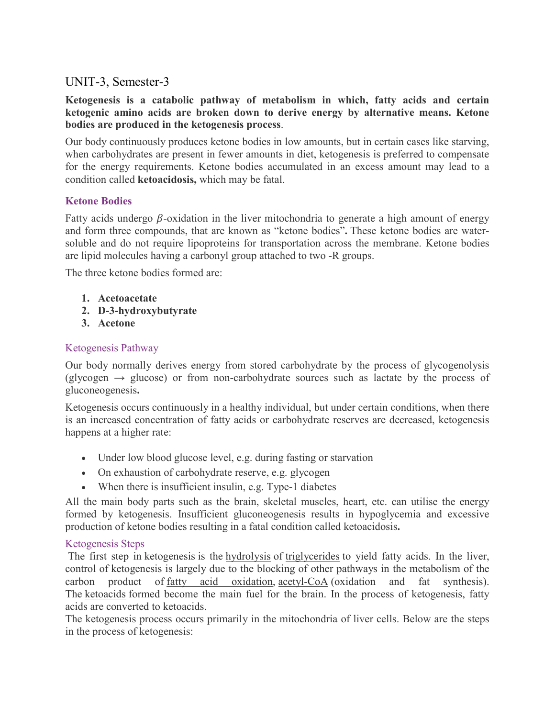# UNIT-3, Semester-3

#### **Ketogenesis is a catabolic pathway of metabolism in which, fatty acids and certain ketogenic amino acids are broken down to derive energy by alternative means. Ketone bodies are produced in the ketogenesis process**.

Our body continuously produces ketone bodies in low amounts, but in certain cases like starving, when carbohydrates are present in fewer amounts in diet, ketogenesis is preferred to compensate for the energy requirements. Ketone bodies accumulated in an excess amount may lead to a condition called **ketoacidosis,** which may be fatal.

### **Ketone Bodies**

Fatty acids undergo  $\beta$ -oxidation in the liver mitochondria to generate a high amount of energy and form three compounds, that are known as "ketone bodies"**.** These ketone bodies are watersoluble and do not require lipoproteins for transportation across the membrane. Ketone bodies are lipid molecules having a carbonyl group attached to two -R groups.

The three ketone bodies formed are:

- **1. Acetoacetate**
- **2. D-3-hydroxybutyrate**
- **3. Acetone**

#### Ketogenesis Pathway

Our body normally derives energy from stored carbohydrate by the process of glycogenolysis (glycogen  $\rightarrow$  glucose) or from non-carbohydrate sources such as lactate by the process of gluconeogenesis**.**

Ketogenesis occurs continuously in a healthy individual, but under certain conditions, when there is an increased concentration of fatty acids or carbohydrate reserves are decreased, ketogenesis happens at a higher rate:

- Under low blood glucose level, e.g. during fasting or starvation
- On exhaustion of carbohydrate reserve, e.g. glycogen
- When there is insufficient insulin, e.g. Type-1 diabetes

All the main body parts such as the brain, skeletal muscles, heart, etc. can utilise the energy formed by ketogenesis. Insufficient gluconeogenesis results in hypoglycemia and excessive production of ketone bodies resulting in a fatal condition called ketoacidosis**.**

#### Ketogenesis Steps

The first step in ketogenesis is the hydrolysis of triglycerides to yield fatty acids. In the liver, control of ketogenesis is largely due to the blocking of other pathways in the metabolism of the carbon product of fatty acid oxidation, acetyl-CoA (oxidation and fat synthesis). The ketoacids formed become the main fuel for the brain. In the process of ketogenesis, fatty acids are converted to ketoacids.

The ketogenesis process occurs primarily in the mitochondria of liver cells. Below are the steps in the process of ketogenesis: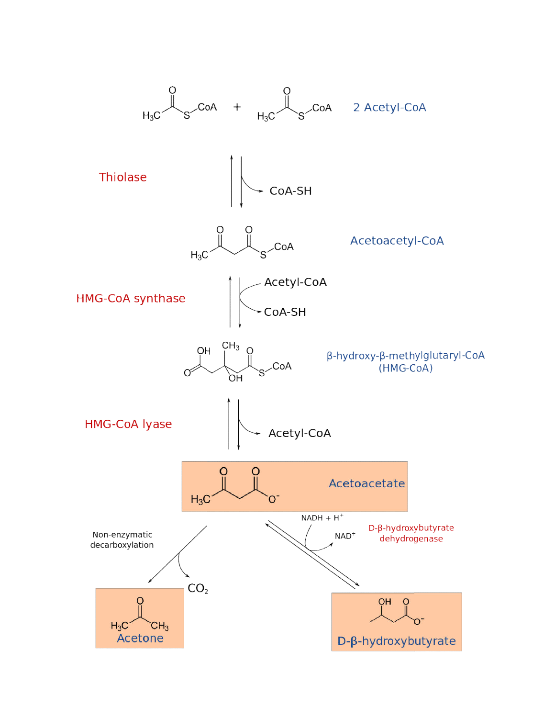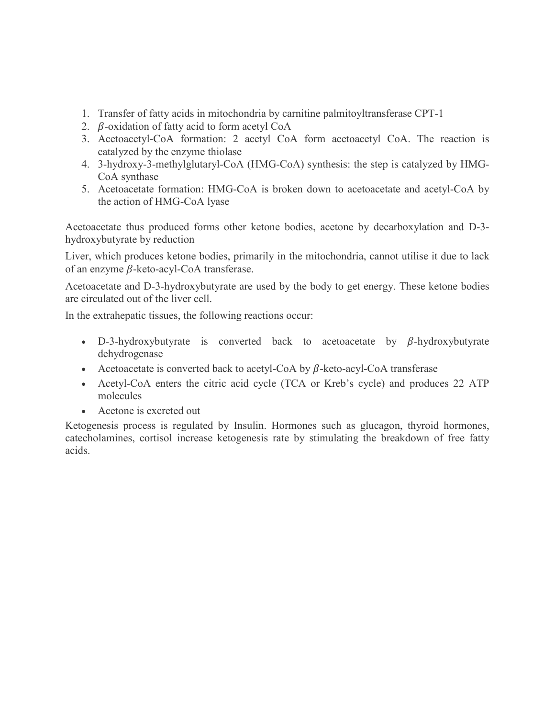- 1. Transfer of fatty acids in mitochondria by carnitine palmitoyltransferase CPT-1
- 2.  $\beta$ -oxidation of fatty acid to form acetyl CoA
- 3. Acetoacetyl-CoA formation: 2 acetyl CoA form acetoacetyl CoA. The reaction is catalyzed by the enzyme thiolase
- 4. 3-hydroxy-3-methylglutaryl-CoA (HMG-CoA) synthesis: the step is catalyzed by HMG-CoA synthase
- 5. Acetoacetate formation: HMG-CoA is broken down to acetoacetate and acetyl-CoA by the action of HMG-CoA lyase

Acetoacetate thus produced forms other ketone bodies, acetone by decarboxylation and D-3 hydroxybutyrate by reduction

Liver, which produces ketone bodies, primarily in the mitochondria, cannot utilise it due to lack of an enzyme  $\beta$ -keto-acyl-CoA transferase.

Acetoacetate and D-3-hydroxybutyrate are used by the body to get energy. These ketone bodies are circulated out of the liver cell.

In the extrahepatic tissues, the following reactions occur:

- D-3-hydroxybutyrate is converted back to acetoacetate by  $\beta$ -hydroxybutyrate dehydrogenase
- Acetoacetate is converted back to acetyl-CoA by  $\beta$ -keto-acyl-CoA transferase
- Acetyl-CoA enters the citric acid cycle (TCA or Kreb's cycle) and produces 22 ATP molecules
- Acetone is excreted out

Ketogenesis process is regulated by Insulin. Hormones such as glucagon, thyroid hormones, catecholamines, cortisol increase ketogenesis rate by stimulating the breakdown of free fatty acids.